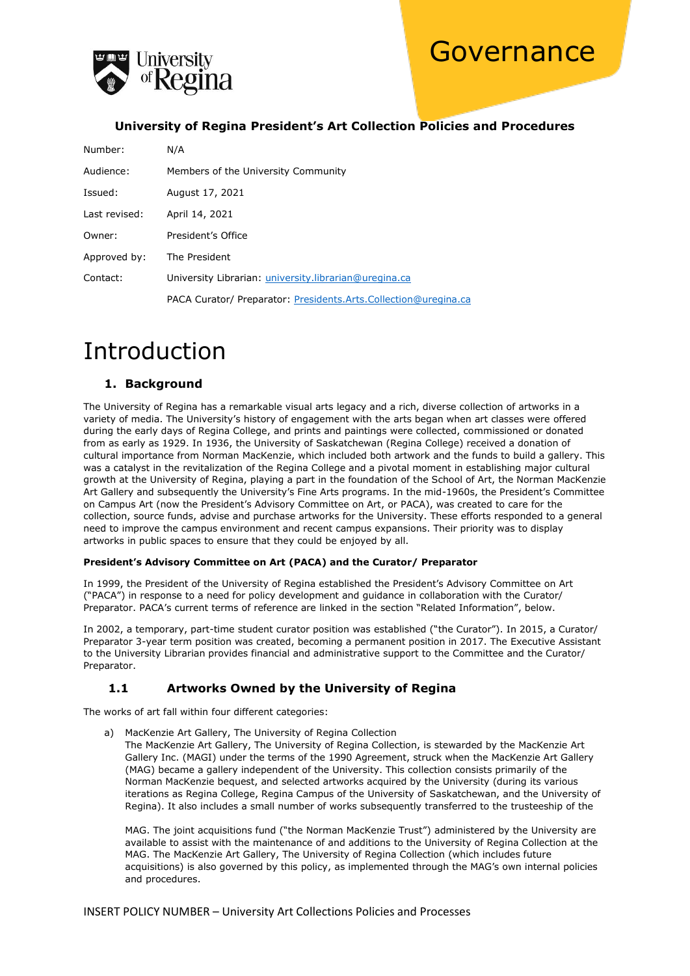



#### **University of Regina President's Art Collection Policies and Procedures**

| Number:       | N/A                                                             |
|---------------|-----------------------------------------------------------------|
| Audience:     | Members of the University Community                             |
| Issued:       | August 17, 2021                                                 |
| Last revised: | April 14, 2021                                                  |
| Owner:        | President's Office                                              |
| Approved by:  | The President                                                   |
| Contact:      | University Librarian: university.librarian@uregina.ca           |
|               | PACA Curator/ Preparator: Presidents.Arts.Collection@uregina.ca |

## Introduction

#### **1. Background**

The University of Regina has a remarkable visual arts legacy and a rich, diverse collection of artworks in a variety of media. The University's history of engagement with the arts began when art classes were offered during the early days of Regina College, and prints and paintings were collected, commissioned or donated from as early as 1929. In 1936, the University of Saskatchewan (Regina College) received a donation of cultural importance from Norman MacKenzie, which included both artwork and the funds to build a gallery. This was a catalyst in the revitalization of the Regina College and a pivotal moment in establishing major cultural growth at the University of Regina, playing a part in the foundation of the School of Art, the Norman MacKenzie Art Gallery and subsequently the University's Fine Arts programs. In the mid-1960s, the President's Committee on Campus Art (now the President's Advisory Committee on Art, or PACA), was created to care for the collection, source funds, advise and purchase artworks for the University. These efforts responded to a general need to improve the campus environment and recent campus expansions. Their priority was to display artworks in public spaces to ensure that they could be enjoyed by all.

#### **President's Advisory Committee on Art (PACA) and the Curator/ Preparator**

In 1999, the President of the University of Regina established the President's Advisory Committee on Art ("PACA") in response to a need for policy development and guidance in collaboration with the Curator/ Preparator. PACA's current terms of reference are linked in the section "Related Information", below.

In 2002, a temporary, part-time student curator position was established ("the Curator"). In 2015, a Curator/ Preparator 3-year term position was created, becoming a permanent position in 2017. The Executive Assistant to the University Librarian provides financial and administrative support to the Committee and the Curator/ Preparator.

#### **1.1 Artworks Owned by the University of Regina**

The works of art fall within four different categories:

a) MacKenzie Art Gallery, The University of Regina Collection

The MacKenzie Art Gallery, The University of Regina Collection, is stewarded by the MacKenzie Art Gallery Inc. (MAGI) under the terms of the 1990 Agreement, struck when the MacKenzie Art Gallery (MAG) became a gallery independent of the University. This collection consists primarily of the Norman MacKenzie bequest, and selected artworks acquired by the University (during its various iterations as Regina College, Regina Campus of the University of Saskatchewan, and the University of Regina). It also includes a small number of works subsequently transferred to the trusteeship of the

MAG. The joint acquisitions fund ("the Norman MacKenzie Trust") administered by the University are available to assist with the maintenance of and additions to the University of Regina Collection at the MAG. The MacKenzie Art Gallery, The University of Regina Collection (which includes future acquisitions) is also governed by this policy, as implemented through the MAG's own internal policies and procedures.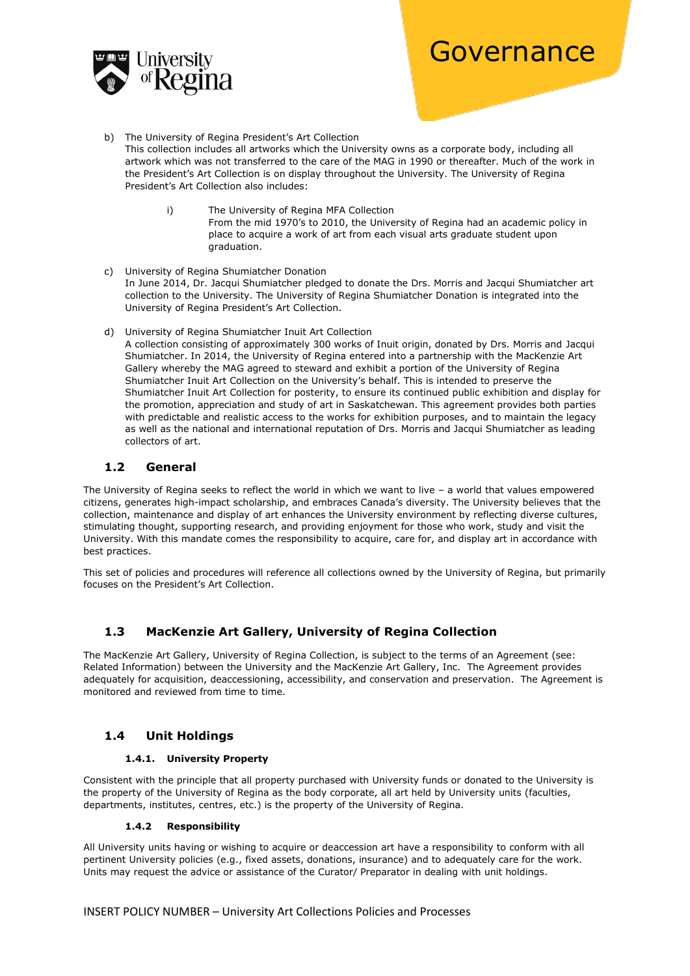

- b) The University of Regina President's Art Collection This collection includes all artworks which the University owns as a corporate body, including all artwork which was not transferred to the care of the MAG in 1990 or thereafter. Much of the work in the President's Art Collection is on display throughout the University. The University of Regina President's Art Collection also includes:
	- i) The University of Regina MFA Collection From the mid 1970's to 2010, the University of Regina had an academic policy in place to acquire a work of art from each visual arts graduate student upon graduation.
- c) University of Regina Shumiatcher Donation In June 2014, Dr. Jacqui Shumiatcher pledged to donate the Drs. Morris and Jacqui Shumiatcher art collection to the University. The University of Regina Shumiatcher Donation is integrated into the University of Regina President's Art Collection.
- d) University of Regina Shumiatcher Inuit Art Collection

A collection consisting of approximately 300 works of Inuit origin, donated by Drs. Morris and Jacqui Shumiatcher. In 2014, the University of Regina entered into a partnership with the MacKenzie Art Gallery whereby the MAG agreed to steward and exhibit a portion of the University of Regina Shumiatcher Inuit Art Collection on the University's behalf. This is intended to preserve the Shumiatcher Inuit Art Collection for posterity, to ensure its continued public exhibition and display for the promotion, appreciation and study of art in Saskatchewan. This agreement provides both parties with predictable and realistic access to the works for exhibition purposes, and to maintain the legacy as well as the national and international reputation of Drs. Morris and Jacqui Shumiatcher as leading collectors of art.

#### **1.2 General**

The University of Regina seeks to reflect the world in which we want to live – a world that values empowered citizens, generates high-impact scholarship, and embraces Canada's diversity. The University believes that the collection, maintenance and display of art enhances the University environment by reflecting diverse cultures, stimulating thought, supporting research, and providing enjoyment for those who work, study and visit the University. With this mandate comes the responsibility to acquire, care for, and display art in accordance with best practices.

This set of policies and procedures will reference all collections owned by the University of Regina, but primarily focuses on the President's Art Collection.

#### **1.3 MacKenzie Art Gallery, University of Regina Collection**

The MacKenzie Art Gallery, University of Regina Collection, is subject to the terms of an Agreement (see: Related Information) between the University and the MacKenzie Art Gallery, Inc. The Agreement provides adequately for acquisition, deaccessioning, accessibility, and conservation and preservation. The Agreement is monitored and reviewed from time to time.

#### **1.4 Unit Holdings**

#### **1.4.1. University Property**

Consistent with the principle that all property purchased with University funds or donated to the University is the property of the University of Regina as the body corporate, all art held by University units (faculties, departments, institutes, centres, etc.) is the property of the University of Regina.

#### **1.4.2 Responsibility**

All University units having or wishing to acquire or deaccession art have a responsibility to conform with all pertinent University policies (e.g., fixed assets, donations, insurance) and to adequately care for the work. Units may request the advice or assistance of the Curator/ Preparator in dealing with unit holdings.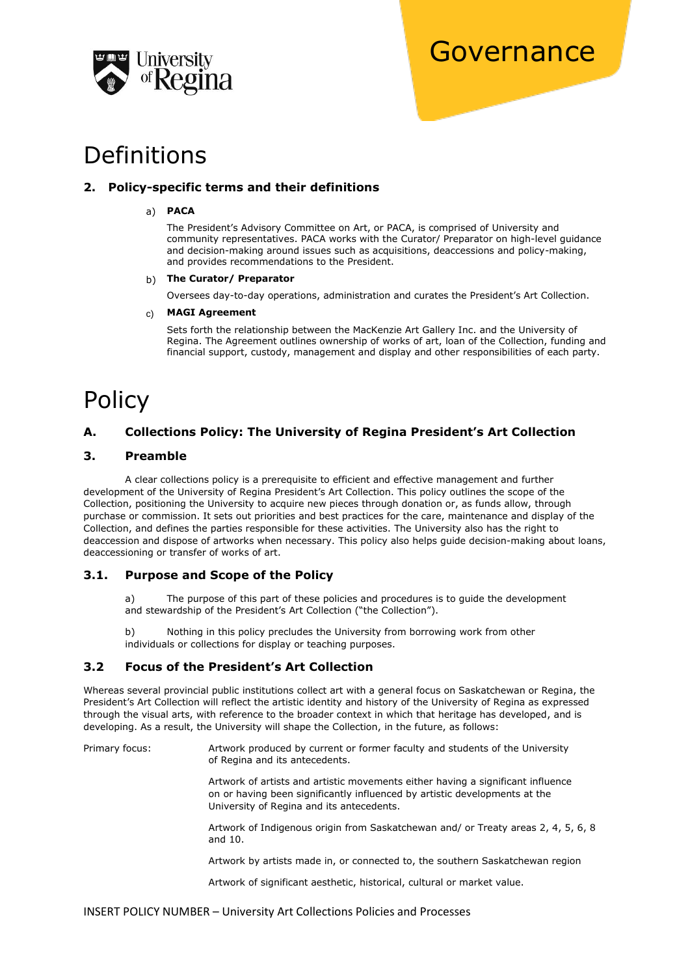

### Definitions

#### **2. Policy-specific terms and their definitions**

#### a) **PACA**

The President's Advisory Committee on Art, or PACA, is comprised of University and community representatives. PACA works with the Curator/ Preparator on high-level guidance and decision-making around issues such as acquisitions, deaccessions and policy-making, and provides recommendations to the President.

#### b) **The Curator/ Preparator**

Oversees day-to-day operations, administration and curates the President's Art Collection.

#### c) **MAGI Agreement**

Sets forth the relationship between the MacKenzie Art Gallery Inc. and the University of Regina. The Agreement outlines ownership of works of art, loan of the Collection, funding and financial support, custody, management and display and other responsibilities of each party.

# Policy

#### **A. Collections Policy: The University of Regina President's Art Collection**

#### **3. Preamble**

A clear collections policy is a prerequisite to efficient and effective management and further development of the University of Regina President's Art Collection. This policy outlines the scope of the Collection, positioning the University to acquire new pieces through donation or, as funds allow, through purchase or commission. It sets out priorities and best practices for the care, maintenance and display of the Collection, and defines the parties responsible for these activities. The University also has the right to deaccession and dispose of artworks when necessary. This policy also helps guide decision-making about loans, deaccessioning or transfer of works of art.

#### **3.1. Purpose and Scope of the Policy**

a) The purpose of this part of these policies and procedures is to guide the development and stewardship of the President's Art Collection ("the Collection").

b) Nothing in this policy precludes the University from borrowing work from other individuals or collections for display or teaching purposes.

#### **3.2 Focus of the President's Art Collection**

Whereas several provincial public institutions collect art with a general focus on Saskatchewan or Regina, the President's Art Collection will reflect the artistic identity and history of the University of Regina as expressed through the visual arts, with reference to the broader context in which that heritage has developed, and is developing. As a result, the University will shape the Collection, in the future, as follows:

Primary focus: Artwork produced by current or former faculty and students of the University of Regina and its antecedents.

> Artwork of artists and artistic movements either having a significant influence on or having been significantly influenced by artistic developments at the University of Regina and its antecedents.

Artwork of Indigenous origin from Saskatchewan and/ or Treaty areas 2, 4, 5, 6, 8 and 10.

Artwork by artists made in, or connected to, the southern Saskatchewan region

Artwork of significant aesthetic, historical, cultural or market value.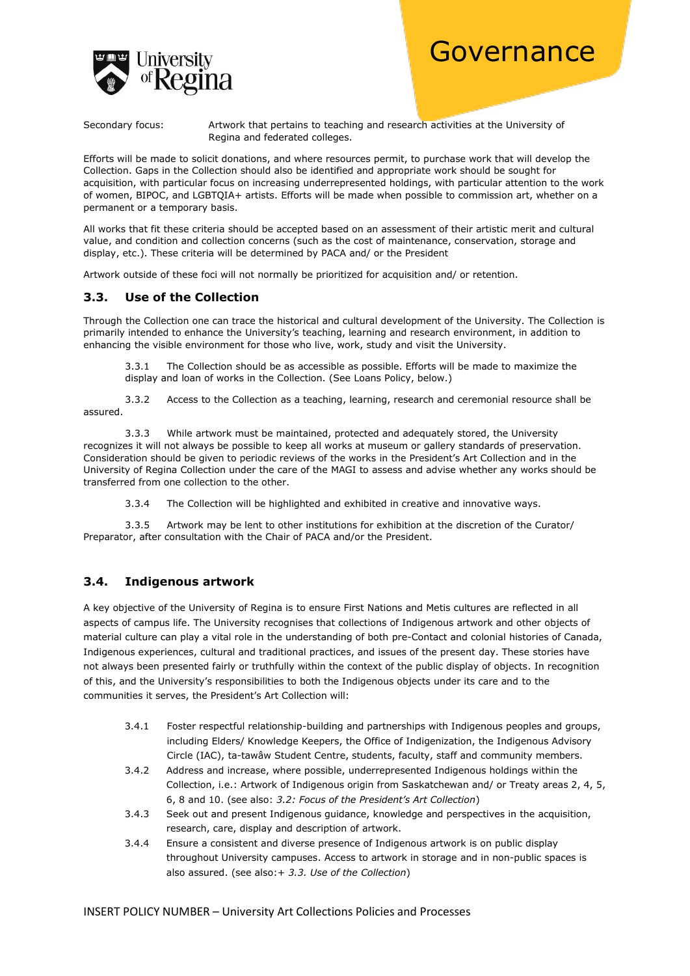

Secondary focus: Artwork that pertains to teaching and research activities at the University of Regina and federated colleges.

Efforts will be made to solicit donations, and where resources permit, to purchase work that will develop the Collection. Gaps in the Collection should also be identified and appropriate work should be sought for acquisition, with particular focus on increasing underrepresented holdings, with particular attention to the work of women, BIPOC, and LGBTQIA+ artists. Efforts will be made when possible to commission art, whether on a permanent or a temporary basis.

All works that fit these criteria should be accepted based on an assessment of their artistic merit and cultural value, and condition and collection concerns (such as the cost of maintenance, conservation, storage and display, etc.). These criteria will be determined by PACA and/ or the President

Artwork outside of these foci will not normally be prioritized for acquisition and/ or retention.

#### **3.3. Use of the Collection**

Through the Collection one can trace the historical and cultural development of the University. The Collection is primarily intended to enhance the University's teaching, learning and research environment, in addition to enhancing the visible environment for those who live, work, study and visit the University.

3.3.1 The Collection should be as accessible as possible. Efforts will be made to maximize the display and loan of works in the Collection. (See Loans Policy, below.)

3.3.2 Access to the Collection as a teaching, learning, research and ceremonial resource shall be assured.

3.3.3 While artwork must be maintained, protected and adequately stored, the University recognizes it will not always be possible to keep all works at museum or gallery standards of preservation. Consideration should be given to periodic reviews of the works in the President's Art Collection and in the University of Regina Collection under the care of the MAGI to assess and advise whether any works should be transferred from one collection to the other.

3.3.4 The Collection will be highlighted and exhibited in creative and innovative ways.

3.3.5 Artwork may be lent to other institutions for exhibition at the discretion of the Curator/ Preparator, after consultation with the Chair of PACA and/or the President.

#### **3.4. Indigenous artwork**

A key objective of the University of Regina is to ensure First Nations and Metis cultures are reflected in all aspects of campus life. The University recognises that collections of Indigenous artwork and other objects of material culture can play a vital role in the understanding of both pre-Contact and colonial histories of Canada, Indigenous experiences, cultural and traditional practices, and issues of the present day. These stories have not always been presented fairly or truthfully within the context of the public display of objects. In recognition of this, and the University's responsibilities to both the Indigenous objects under its care and to the communities it serves, the President's Art Collection will:

- 3.4.1 Foster respectful relationship-building and partnerships with Indigenous peoples and groups, including Elders/ Knowledge Keepers, the Office of Indigenization, the Indigenous Advisory Circle (IAC), ta-tawâw Student Centre, students, faculty, staff and community members.
- 3.4.2 Address and increase, where possible, underrepresented Indigenous holdings within the Collection, i.e.: Artwork of Indigenous origin from Saskatchewan and/ or Treaty areas 2, 4, 5, 6, 8 and 10. (see also: *3.2: Focus of the President's Art Collection*)
- 3.4.3 Seek out and present Indigenous guidance, knowledge and perspectives in the acquisition, research, care, display and description of artwork.
- 3.4.4 Ensure a consistent and diverse presence of Indigenous artwork is on public display throughout University campuses. Access to artwork in storage and in non-public spaces is also assured. (see also:+ *3.3. Use of the Collection*)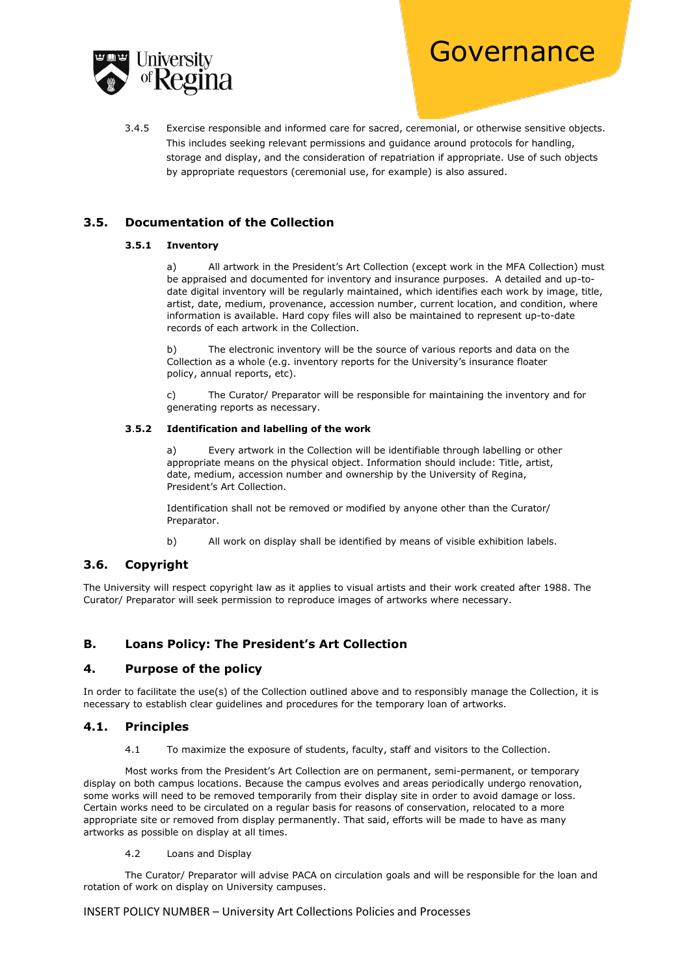

3.4.5 Exercise responsible and informed care for sacred, ceremonial, or otherwise sensitive objects. This includes seeking relevant permissions and guidance around protocols for handling, storage and display, and the consideration of repatriation if appropriate. Use of such objects by appropriate requestors (ceremonial use, for example) is also assured.

#### **3.5. Documentation of the Collection**

#### **3.5.1 Inventory**

a) All artwork in the President's Art Collection (except work in the MFA Collection) must be appraised and documented for inventory and insurance purposes. A detailed and up-todate digital inventory will be regularly maintained, which identifies each work by image, title, artist, date, medium, provenance, accession number, current location, and condition, where information is available. Hard copy files will also be maintained to represent up-to-date records of each artwork in the Collection.

b) The electronic inventory will be the source of various reports and data on the Collection as a whole (e.g. inventory reports for the University's insurance floater policy, annual reports, etc).

c) The Curator/ Preparator will be responsible for maintaining the inventory and for generating reports as necessary.

#### **3**.**5.2 Identification and labelling of the work**

a) Every artwork in the Collection will be identifiable through labelling or other appropriate means on the physical object. Information should include: Title, artist, date, medium, accession number and ownership by the University of Regina, President's Art Collection.

Identification shall not be removed or modified by anyone other than the Curator/ Preparator.

b) All work on display shall be identified by means of visible exhibition labels.

#### **3.6. Copyright**

The University will respect copyright law as it applies to visual artists and their work created after 1988. The Curator/ Preparator will seek permission to reproduce images of artworks where necessary.

#### **B. Loans Policy: The President's Art Collection**

#### **4. Purpose of the policy**

In order to facilitate the use(s) of the Collection outlined above and to responsibly manage the Collection, it is necessary to establish clear guidelines and procedures for the temporary loan of artworks.

#### **4.1. Principles**

4.1 To maximize the exposure of students, faculty, staff and visitors to the Collection.

Most works from the President's Art Collection are on permanent, semi-permanent, or temporary display on both campus locations. Because the campus evolves and areas periodically undergo renovation, some works will need to be removed temporarily from their display site in order to avoid damage or loss. Certain works need to be circulated on a regular basis for reasons of conservation, relocated to a more appropriate site or removed from display permanently. That said, efforts will be made to have as many artworks as possible on display at all times.

4.2 Loans and Display

The Curator/ Preparator will advise PACA on circulation goals and will be responsible for the loan and rotation of work on display on University campuses.

#### INSERT POLICY NUMBER – University Art Collections Policies and Processes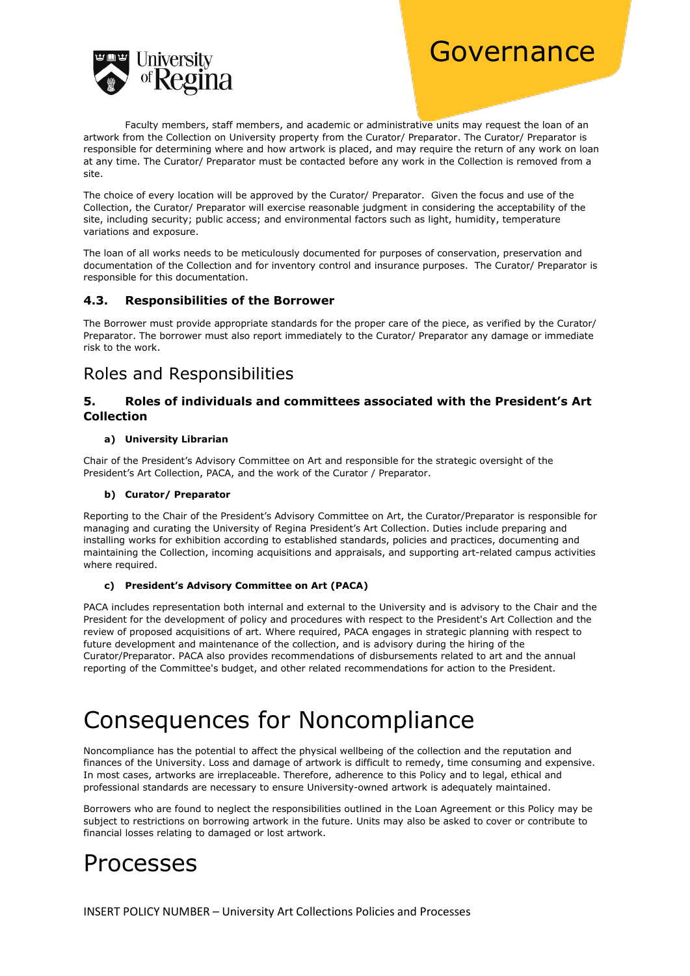

Faculty members, staff members, and academic or administrative units may request the loan of an artwork from the Collection on University property from the Curator/ Preparator. The Curator/ Preparator is responsible for determining where and how artwork is placed, and may require the return of any work on loan at any time. The Curator/ Preparator must be contacted before any work in the Collection is removed from a site.

The choice of every location will be approved by the Curator/ Preparator. Given the focus and use of the Collection, the Curator/ Preparator will exercise reasonable judgment in considering the acceptability of the site, including security; public access; and environmental factors such as light, humidity, temperature variations and exposure.

The loan of all works needs to be meticulously documented for purposes of conservation, preservation and documentation of the Collection and for inventory control and insurance purposes. The Curator/ Preparator is responsible for this documentation.

#### **4.3. Responsibilities of the Borrower**

The Borrower must provide appropriate standards for the proper care of the piece, as verified by the Curator/ Preparator. The borrower must also report immediately to the Curator/ Preparator any damage or immediate risk to the work.

### Roles and Responsibilities

#### **5. Roles of individuals and committees associated with the President's Art Collection**

#### **a) University Librarian**

Chair of the President's Advisory Committee on Art and responsible for the strategic oversight of the President's Art Collection, PACA, and the work of the Curator / Preparator.

#### **b) Curator/ Preparator**

Reporting to the Chair of the President's Advisory Committee on Art, the Curator/Preparator is responsible for managing and curating the University of Regina President's Art Collection. Duties include preparing and installing works for exhibition according to established standards, policies and practices, documenting and maintaining the Collection, incoming acquisitions and appraisals, and supporting art-related campus activities where required.

#### **c) President's Advisory Committee on Art (PACA)**

PACA includes representation both internal and external to the University and is advisory to the Chair and the President for the development of policy and procedures with respect to the President's Art Collection and the review of proposed acquisitions of art. Where required, PACA engages in strategic planning with respect to future development and maintenance of the collection, and is advisory during the hiring of the Curator/Preparator. PACA also provides recommendations of disbursements related to art and the annual reporting of the Committee's budget, and other related recommendations for action to the President.

# Consequences for Noncompliance

Noncompliance has the potential to affect the physical wellbeing of the collection and the reputation and finances of the University. Loss and damage of artwork is difficult to remedy, time consuming and expensive. In most cases, artworks are irreplaceable. Therefore, adherence to this Policy and to legal, ethical and professional standards are necessary to ensure University-owned artwork is adequately maintained.

Borrowers who are found to neglect the responsibilities outlined in the Loan Agreement or this Policy may be subject to restrictions on borrowing artwork in the future. Units may also be asked to cover or contribute to financial losses relating to damaged or lost artwork.

## Processes

INSERT POLICY NUMBER – University Art Collections Policies and Processes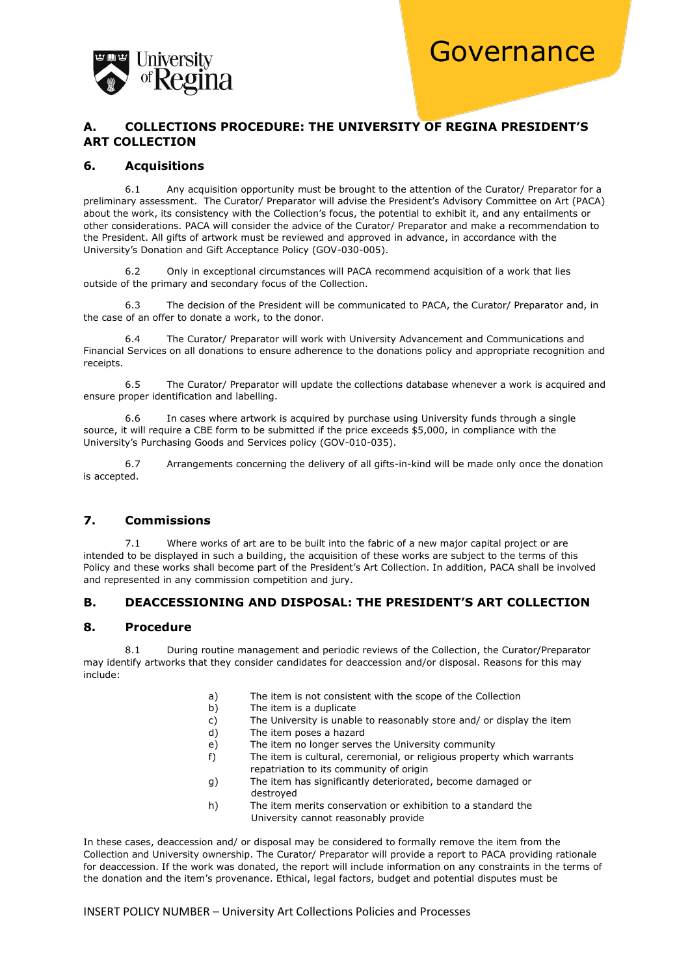

#### **A. COLLECTIONS PROCEDURE: THE UNIVERSITY OF REGINA PRESIDENT'S ART COLLECTION**

#### **6. Acquisitions**

6.1 Any acquisition opportunity must be brought to the attention of the Curator/ Preparator for a preliminary assessment. The Curator/ Preparator will advise the President's Advisory Committee on Art (PACA) about the work, its consistency with the Collection's focus, the potential to exhibit it, and any entailments or other considerations. PACA will consider the advice of the Curator/ Preparator and make a recommendation to the President. All gifts of artwork must be reviewed and approved in advance, in accordance with the University's Donation and Gift Acceptance Policy (GOV-030-005).

6.2 Only in exceptional circumstances will PACA recommend acquisition of a work that lies outside of the primary and secondary focus of the Collection.

6.3 The decision of the President will be communicated to PACA, the Curator/ Preparator and, in the case of an offer to donate a work, to the donor.

6.4 The Curator/ Preparator will work with University Advancement and Communications and Financial Services on all donations to ensure adherence to the donations policy and appropriate recognition and receipts.

6.5 The Curator/ Preparator will update the collections database whenever a work is acquired and ensure proper identification and labelling.

6.6 In cases where artwork is acquired by purchase using University funds through a single source, it will require a CBE form to be submitted if the price exceeds \$5,000, in compliance with the University's Purchasing Goods and Services policy (GOV-010-035).

6.7 Arrangements concerning the delivery of all gifts-in-kind will be made only once the donation is accepted.

#### **7. Commissions**

7.1 Where works of art are to be built into the fabric of a new major capital project or are intended to be displayed in such a building, the acquisition of these works are subject to the terms of this Policy and these works shall become part of the President's Art Collection. In addition, PACA shall be involved and represented in any commission competition and jury.

#### **B. DEACCESSIONING AND DISPOSAL: THE PRESIDENT'S ART COLLECTION**

#### **8. Procedure**

8.1 During routine management and periodic reviews of the Collection, the Curator/Preparator may identify artworks that they consider candidates for deaccession and/or disposal. Reasons for this may include:

- a) The item is not consistent with the scope of the Collection
- b) The item is a duplicate
- c) The University is unable to reasonably store and/ or display the item
- d) The item poses a hazard
- e) The item no longer serves the University community
- f) The item is cultural, ceremonial, or religious property which warrants repatriation to its community of origin
- g) The item has significantly deteriorated, become damaged or destroyed
- h) The item merits conservation or exhibition to a standard the University cannot reasonably provide

In these cases, deaccession and/ or disposal may be considered to formally remove the item from the Collection and University ownership. The Curator/ Preparator will provide a report to PACA providing rationale for deaccession. If the work was donated, the report will include information on any constraints in the terms of the donation and the item's provenance. Ethical, legal factors, budget and potential disputes must be